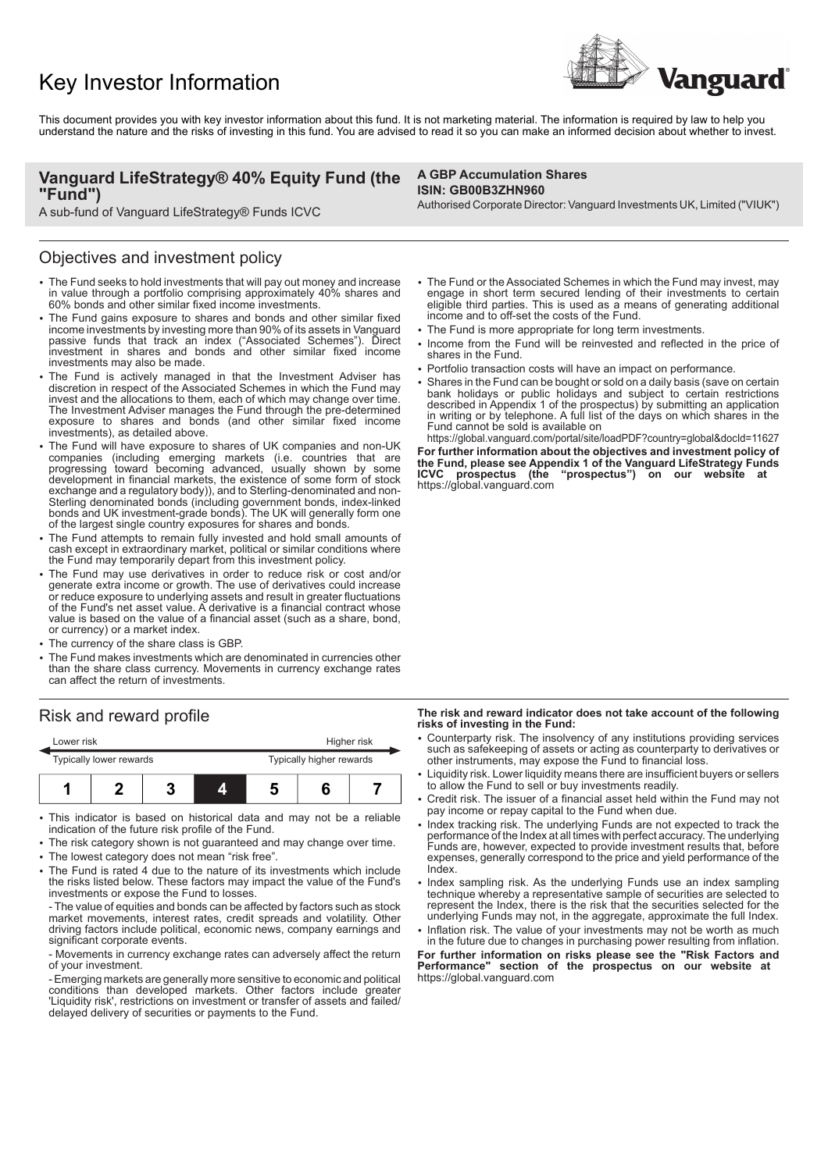# Key Investor Information



This document provides you with key investor information about this fund. It is not marketing material. The information is required by law to help you understand the nature and the risks of investing in this fund. You are advised to read it so you can make an informed decision about whether to invest.

# **Vanguard LifeStrategy® 40% Equity Fund (the "Fund")**

A sub-fund of Vanguard LifeStrategy® Funds ICVC

### Objectives and investment policy

- The Fund seeks to hold investments that will pay out money and increase in value through a portfolio comprising approximately 40% shares and 60% bonds and other similar fixed income investments.
- The Fund gains exposure to shares and bonds and other similar fixed income investments by investing more than 90% of its assets in Vanguard passive funds that track an index ("Associated Schemes"). Direct investment in shares and bonds and other similar fixed income investments may also be made.
- The Fund is actively managed in that the Investment Adviser has discretion in respect of the Associated Schemes in which the Fund may invest and the allocations to them, each of which may change over time. The Investment Adviser manages the Fund through the pre-determined exposure to shares and bonds (and other similar fixed income investments), as detailed above.
- The Fund will have exposure to shares of UK companies and non-UK companies (including emerging markets (i.e. countries that are progressing toward becoming advanced, usually shown by some development in financial markets, the existence of some form of stock exchange and a regulatory body)), and to Sterling-denominated and non-Sterling denominated bonds (including government bonds, index-linked bonds and UK investment-grade bonds). The UK will generally form one of the largest single country exposures for shares and bonds.
- The Fund attempts to remain fully invested and hold small amounts of cash except in extraordinary market, political or similar conditions where the Fund may temporarily depart from this investment policy.
- 2 The Fund may use derivatives in order to reduce risk or cost and/or generate extra income or growth. The use of derivatives could increase or reduce exposure to underlying assets and result in greater fluctuations of the Fund's net asset value. A derivative is a financial contract whose value is based on the value of a financial asset (such as a share, bond, or currency) or a market index.
- The currency of the share class is GBP.
- 2 The Fund makes investments which are denominated in currencies other than the share class currency. Movements in currency exchange rates can affect the return of investments.

# Risk and reward profile

| Lower risk              |  |  |                          | Higher risk |  |  |  |
|-------------------------|--|--|--------------------------|-------------|--|--|--|
| Typically lower rewards |  |  | Typically higher rewards |             |  |  |  |
|                         |  |  | 4                        |             |  |  |  |

- This indicator is based on historical data and may not be a reliable indication of the future risk profile of the Fund.
- The risk category shown is not guaranteed and may change over time.
- The lowest category does not mean "risk free".
- 2 The Fund is rated 4 due to the nature of its investments which include the risks listed below. These factors may impact the value of the Fund's investments or expose the Fund to losses.

- The value of equities and bonds can be affected by factors such as stock market movements, interest rates, credit spreads and volatility. Other driving factors include political, economic news, company earnings and significant corporate events.

- Movements in currency exchange rates can adversely affect the return of your investment.

- Emerging markets are generally more sensitive to economic and political conditions than developed markets. Other factors include greater 'Liquidity risk', restrictions on investment or transfer of assets and failed/ delayed delivery of securities or payments to the Fund.

### **A GBP Accumulation Shares ISIN: GB00B3ZHN960**

Authorised Corporate Director: Vanguard Investments UK, Limited ("VIUK")

- The Fund or the Associated Schemes in which the Fund may invest, may engage in short term secured lending of their investments to certain eligible third parties. This is used as a means of generating additional income and to off-set the costs of the Fund.
- The Fund is more appropriate for long term investments.
- Income from the Fund will be reinvested and reflected in the price of shares in the Fund.
- Portfolio transaction costs will have an impact on performance.
- Shares in the Fund can be bought or sold on a daily basis (save on certain bank holidays or public holidays and subject to certain restrictions described in Appendix 1 of the prospectus) by submitting an application in writing or by telephone. A full list of the days on which shares in the Fund cannot be sold is available on

https://global.vanguard.com/portal/site/loadPDF?country=global&docId=11627 **For further information about the objectives and investment policy of the Fund, please see Appendix 1 of the Vanguard LifeStrategy Funds** "prospectus") on our website at **ICVC** prospectus (the https://global.vanguard.com

#### **The risk and reward indicator does not take account of the following risks of investing in the Fund:**

- 2 Counterparty risk. The insolvency of any institutions providing services such as safekeeping of assets or acting as counterparty to derivatives or other instruments, may expose the Fund to financial loss.
- Liquidity risk. Lower liquidity means there are insufficient buyers or sellers to allow the Fund to sell or buy investments readily.
- 2 Credit risk. The issuer of a financial asset held within the Fund may not pay income or repay capital to the Fund when due.
- Index tracking risk. The underlying Funds are not expected to track the performance of the Index at all times with perfect accuracy. The underlying Funds are, however, expected to provide investment results that, before expenses, generally correspond to the price and yield performance of the Index.
- Index sampling risk. As the underlying Funds use an index sampling technique whereby a representative sample of securities are selected to represent the Index, there is the risk that the securities selected for the underlying Funds may not, in the aggregate, approximate the full Index.
- Inflation risk. The value of your investments may not be worth as much in the future due to changes in purchasing power resulting from inflation.

**For further information on risks please see the "Risk Factors and** section of the prospectus on our website at https://global.vanguard.com